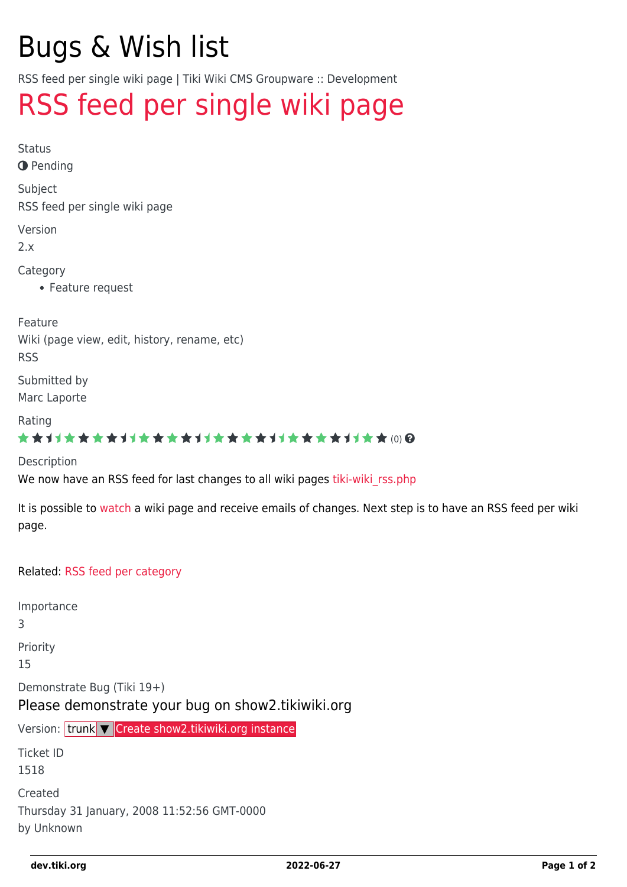# Bugs & Wish list

RSS feed per single wiki page | Tiki Wiki CMS Groupware :: Development

## [RSS feed per single wiki page](https://dev.tiki.org/item1518-RSS-feed-per-single-wiki-page)

Status

**O** Pending

Subject

RSS feed per single wiki page

Version

2.x

Category

Feature request

Feature

Wiki (page view, edit, history, rename, etc) RSS

Submitted by Marc Laporte

Rating

#### **★★11★★★★11★★★★11★★★★11★★★★11★★**@@

Description

We now have an RSS feed for last changes to all wiki pages tiki-wiki rss.php

It is possible to [watch](https://dev.tiki.org/Watch) a wiki page and receive emails of changes. Next step is to have an RSS feed per wiki page.

Related: [RSS feed per category](https://dev.tiki.org/tiki-view_tracker_item.php?itemId=884)

Importance 3 Priority 15 Demonstrate Bug (Tiki 19+) Please demonstrate your bug on show2.tikiwiki.org Version: trunk ▼ [Create show2.tikiwiki.org instance](#page--1-0) Ticket ID 1518 Created Thursday 31 January, 2008 11:52:56 GMT-0000 by Unknown